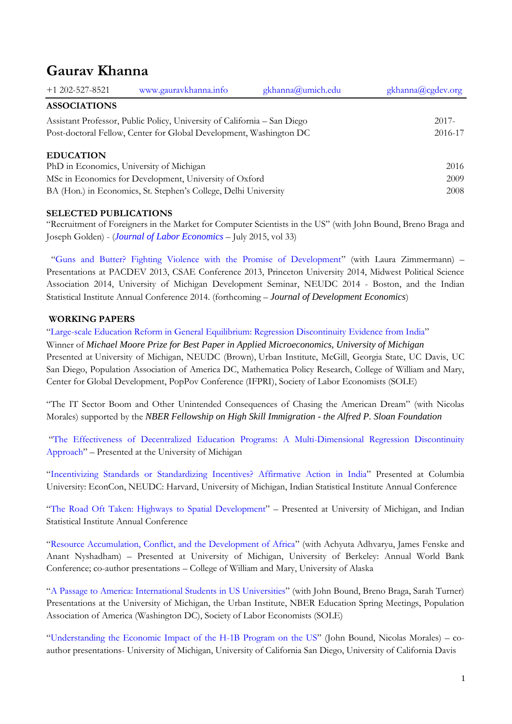# **Gaurav Khanna**

| $+1$ 202-527-8521                                                        | www.gauravkhanna.info | gkhanna@umich.edu | gkhanna@cgdev.org |
|--------------------------------------------------------------------------|-----------------------|-------------------|-------------------|
| <b>ASSOCIATIONS</b>                                                      |                       |                   |                   |
| Assistant Professor, Public Policy, University of California – San Diego |                       |                   | $2017 -$          |
| Post-doctoral Fellow, Center for Global Development, Washington DC       |                       |                   | 2016-17           |
|                                                                          |                       |                   |                   |

## **EDUCATION**

PhD in Economics, University of Michigan 2016 MSc in Economics for Development, University of Oxford 2009 BA (Hon.) in Economics, St. Stephen's College, Delhi University 2008

## **SELECTED PUBLICATIONS**

"Recruitment of Foreigners in the Market for Computer Scientists in the US" (with John Bound, Breno Braga and Joseph Golden) - (*[Journal of Labor Economics](http://www.jstor.org/stable/pdf/10.1086/679020.pdf) –* July 2015, vol 33)

"Guns and [Butter? Fighting Violence with the Promise of Development](http://papers.ssrn.com/sol3/papers.cfm?abstract_id=2426832)" (with Laura Zimmermann) *–* Presentations at PACDEV 2013, CSAE Conference 2013, Princeton University 2014, Midwest Political Science Association 2014, University of Michigan Development Seminar, NEUDC 2014 - Boston, and the Indian Statistical Institute Annual Conference 2014. (forthcoming – *Journal of Development Economics*)

## **WORKING PAPERS**

"[Large-scale Education Reform in General Equilibrium: Regression Discontinuity E](http://www-personal.umich.edu/~gkhanna/JMP.pdf)vidence from India"

Winner of *Michael Moore Prize for Best Paper in Applied Microeconomics, University of Michigan* Presented at University of Michigan, NEUDC (Brown), Urban Institute, McGill, Georgia State, UC Davis, UC San Diego, Population Association of America DC, Mathematica Policy Research, College of William and Mary, Center for Global Development, PopPov Conference (IFPRI), Society of Labor Economists (SOLE)

"The IT Sector Boom and Other Unintended Consequences of Chasing the American Dream" (with Nicolas Morales) supported by the *NBER Fellowship on High Skill Immigration - the Alfred P. Sloan Foundation*

"The Effectiveness of Decentralized [Education Programs: A Multi-Dimensional Regression Discontinuity](http://www-personal.umich.edu/~gkhanna/MRD.pdf)  [Approach](http://www-personal.umich.edu/~gkhanna/MRD.pdf)" – Presented at the University of Michigan

"Incentivizing Standards or Standardizing Incentives? [Affirmative Action in India](http://papers.ssrn.com/sol3/papers.cfm?abstract_id=2246549)" Presented at Columbia University: EconCon, NEUDC: Harvard, University of Michigan, Indian Statistical Institute Annual Conference

"[The Road Oft Taken: Highways to Spatial Development](http://papers.ssrn.com/sol3/papers.cfm?abstract_id=2426835)" – Presented at University of Michigan, and Indian Statistical Institute Annual Conference

"[Resource Accumulation, Conflict, and the Development of Africa](http://www-personal.umich.edu/~gkhanna/Conflict_Africa.pdf)" (with Achyuta Adhvaryu, James Fenske and Anant Nyshadham) – Presented at University of Michigan, University of Berkeley: Annual World Bank Conference; co-author presentations – College of William and Mary, University of Alaska

"[A Passage to America: International Students in US Universities](http://www-personal.umich.edu/~gkhanna/International_Students.pdf)" (with John Bound, Breno Braga, Sarah Turner) Presentations at the University of Michigan, the Urban Institute, NBER Education Spring Meetings, Population Association of America (Washington DC), Society of Labor Economists (SOLE)

"[Understanding the Economic Impact of the H-1B Program on the US](http://www-personal.umich.edu/~gkhanna/H1B_welfare.pdf)" (John Bound, Nicolas Morales) – coauthor presentations- University of Michigan, University of California San Diego, University of California Davis